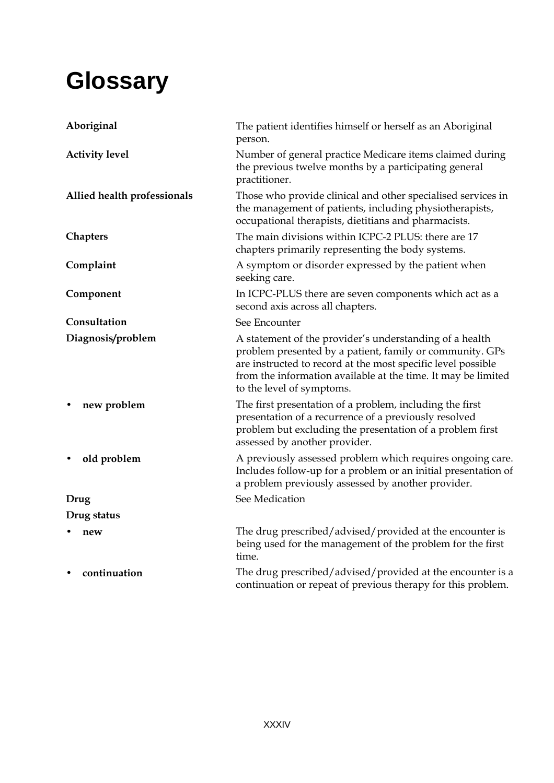## **Glossary**

| Aboriginal                  | The patient identifies himself or herself as an Aboriginal<br>person.                                                                                                                                                                                                             |
|-----------------------------|-----------------------------------------------------------------------------------------------------------------------------------------------------------------------------------------------------------------------------------------------------------------------------------|
| <b>Activity level</b>       | Number of general practice Medicare items claimed during<br>the previous twelve months by a participating general<br>practitioner.                                                                                                                                                |
| Allied health professionals | Those who provide clinical and other specialised services in<br>the management of patients, including physiotherapists,<br>occupational therapists, dietitians and pharmacists.                                                                                                   |
| Chapters                    | The main divisions within ICPC-2 PLUS: there are 17<br>chapters primarily representing the body systems.                                                                                                                                                                          |
| Complaint                   | A symptom or disorder expressed by the patient when<br>seeking care.                                                                                                                                                                                                              |
| Component                   | In ICPC-PLUS there are seven components which act as a<br>second axis across all chapters.                                                                                                                                                                                        |
| Consultation                | See Encounter                                                                                                                                                                                                                                                                     |
| Diagnosis/problem           | A statement of the provider's understanding of a health<br>problem presented by a patient, family or community. GPs<br>are instructed to record at the most specific level possible<br>from the information available at the time. It may be limited<br>to the level of symptoms. |
| new problem                 | The first presentation of a problem, including the first<br>presentation of a recurrence of a previously resolved<br>problem but excluding the presentation of a problem first<br>assessed by another provider.                                                                   |
| old problem                 | A previously assessed problem which requires ongoing care.<br>Includes follow-up for a problem or an initial presentation of<br>a problem previously assessed by another provider.                                                                                                |
| Drug                        | See Medication                                                                                                                                                                                                                                                                    |
| Drug status                 |                                                                                                                                                                                                                                                                                   |
| new                         | The drug prescribed/advised/provided at the encounter is<br>being used for the management of the problem for the first<br>time.                                                                                                                                                   |
| continuation                | The drug prescribed/advised/provided at the encounter is a<br>continuation or repeat of previous therapy for this problem.                                                                                                                                                        |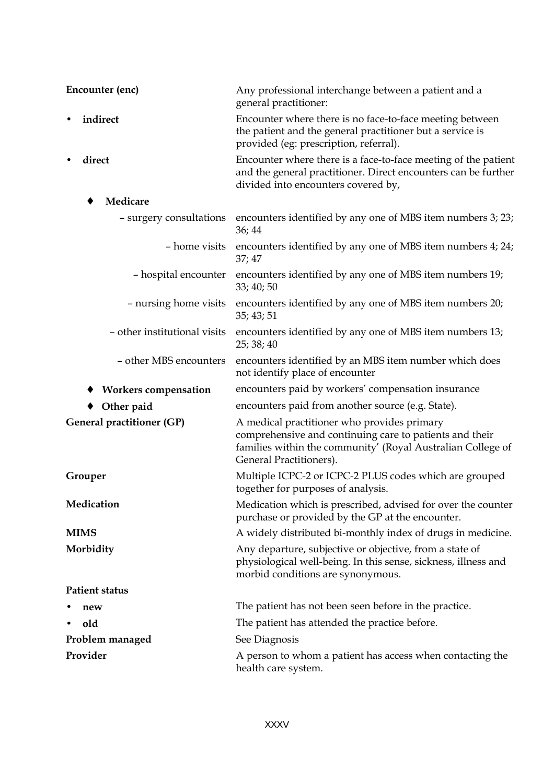| Encounter (enc)              | Any professional interchange between a patient and a<br>general practitioner:                                                                                                                    |  |
|------------------------------|--------------------------------------------------------------------------------------------------------------------------------------------------------------------------------------------------|--|
| indirect                     | Encounter where there is no face-to-face meeting between<br>the patient and the general practitioner but a service is<br>provided (eg: prescription, referral).                                  |  |
| direct                       | Encounter where there is a face-to-face meeting of the patient<br>and the general practitioner. Direct encounters can be further<br>divided into encounters covered by,                          |  |
| Medicare                     |                                                                                                                                                                                                  |  |
| - surgery consultations      | encounters identified by any one of MBS item numbers 3; 23;<br>36; 44                                                                                                                            |  |
| - home visits                | encounters identified by any one of MBS item numbers 4; 24;<br>37;47                                                                                                                             |  |
| - hospital encounter         | encounters identified by any one of MBS item numbers 19;<br>33; 40; 50                                                                                                                           |  |
| - nursing home visits        | encounters identified by any one of MBS item numbers 20;<br>35; 43; 51                                                                                                                           |  |
| - other institutional visits | encounters identified by any one of MBS item numbers 13;<br>25; 38; 40                                                                                                                           |  |
| - other MBS encounters       | encounters identified by an MBS item number which does<br>not identify place of encounter                                                                                                        |  |
| <b>Workers compensation</b>  | encounters paid by workers' compensation insurance                                                                                                                                               |  |
| Other paid                   | encounters paid from another source (e.g. State).                                                                                                                                                |  |
| General practitioner (GP)    | A medical practitioner who provides primary<br>comprehensive and continuing care to patients and their<br>families within the community' (Royal Australian College of<br>General Practitioners). |  |
| Grouper                      | Multiple ICPC-2 or ICPC-2 PLUS codes which are grouped<br>together for purposes of analysis.                                                                                                     |  |
| Medication                   | Medication which is prescribed, advised for over the counter<br>purchase or provided by the GP at the encounter.                                                                                 |  |
| <b>MIMS</b>                  | A widely distributed bi-monthly index of drugs in medicine.                                                                                                                                      |  |
| Morbidity                    | Any departure, subjective or objective, from a state of<br>physiological well-being. In this sense, sickness, illness and<br>morbid conditions are synonymous.                                   |  |
| <b>Patient status</b>        |                                                                                                                                                                                                  |  |
| new                          | The patient has not been seen before in the practice.                                                                                                                                            |  |
| old                          | The patient has attended the practice before.                                                                                                                                                    |  |
| Problem managed              | See Diagnosis                                                                                                                                                                                    |  |
| Provider                     | A person to whom a patient has access when contacting the<br>health care system.                                                                                                                 |  |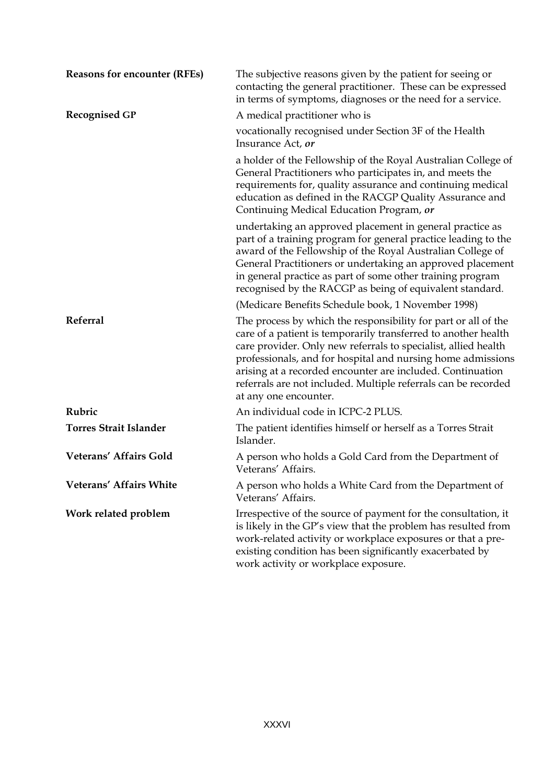| <b>Reasons for encounter (RFEs)</b> | The subjective reasons given by the patient for seeing or<br>contacting the general practitioner. These can be expressed<br>in terms of symptoms, diagnoses or the need for a service.                                                                                                                                                                                                                                     |
|-------------------------------------|----------------------------------------------------------------------------------------------------------------------------------------------------------------------------------------------------------------------------------------------------------------------------------------------------------------------------------------------------------------------------------------------------------------------------|
| <b>Recognised GP</b>                | A medical practitioner who is                                                                                                                                                                                                                                                                                                                                                                                              |
|                                     | vocationally recognised under Section 3F of the Health<br>Insurance Act, or                                                                                                                                                                                                                                                                                                                                                |
|                                     | a holder of the Fellowship of the Royal Australian College of<br>General Practitioners who participates in, and meets the<br>requirements for, quality assurance and continuing medical<br>education as defined in the RACGP Quality Assurance and<br>Continuing Medical Education Program, or                                                                                                                             |
|                                     | undertaking an approved placement in general practice as<br>part of a training program for general practice leading to the<br>award of the Fellowship of the Royal Australian College of<br>General Practitioners or undertaking an approved placement<br>in general practice as part of some other training program<br>recognised by the RACGP as being of equivalent standard.                                           |
|                                     | (Medicare Benefits Schedule book, 1 November 1998)                                                                                                                                                                                                                                                                                                                                                                         |
| <b>Referral</b>                     | The process by which the responsibility for part or all of the<br>care of a patient is temporarily transferred to another health<br>care provider. Only new referrals to specialist, allied health<br>professionals, and for hospital and nursing home admissions<br>arising at a recorded encounter are included. Continuation<br>referrals are not included. Multiple referrals can be recorded<br>at any one encounter. |
| Rubric                              | An individual code in ICPC-2 PLUS.                                                                                                                                                                                                                                                                                                                                                                                         |
| <b>Torres Strait Islander</b>       | The patient identifies himself or herself as a Torres Strait<br>Islander.                                                                                                                                                                                                                                                                                                                                                  |
| Veterans' Affairs Gold              | A person who holds a Gold Card from the Department of<br>Veterans' Affairs.                                                                                                                                                                                                                                                                                                                                                |
| Veterans' Affairs White             | A person who holds a White Card from the Department of<br>Veterans' Affairs.                                                                                                                                                                                                                                                                                                                                               |
| Work related problem                | Irrespective of the source of payment for the consultation, it<br>is likely in the GP's view that the problem has resulted from<br>work-related activity or workplace exposures or that a pre-<br>existing condition has been significantly exacerbated by<br>work activity or workplace exposure.                                                                                                                         |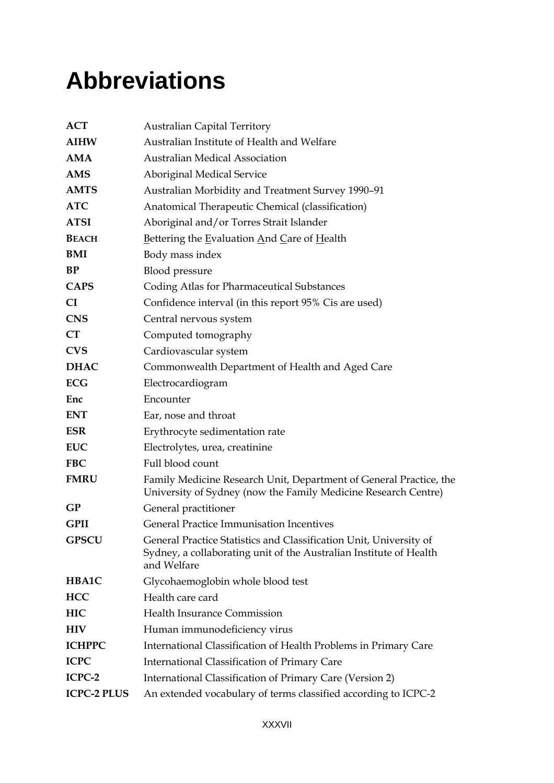## **Abbreviations**

| <b>ACT</b>         | <b>Australian Capital Territory</b>                                                                                                                     |
|--------------------|---------------------------------------------------------------------------------------------------------------------------------------------------------|
| <b>AIHW</b>        | Australian Institute of Health and Welfare                                                                                                              |
| AMA                | <b>Australian Medical Association</b>                                                                                                                   |
| <b>AMS</b>         | Aboriginal Medical Service                                                                                                                              |
| <b>AMTS</b>        | Australian Morbidity and Treatment Survey 1990-91                                                                                                       |
| <b>ATC</b>         | Anatomical Therapeutic Chemical (classification)                                                                                                        |
| <b>ATSI</b>        | Aboriginal and/or Torres Strait Islander                                                                                                                |
| <b>BEACH</b>       | Bettering the Evaluation And Care of Health                                                                                                             |
| BMI                | Body mass index                                                                                                                                         |
| BP                 | Blood pressure                                                                                                                                          |
| <b>CAPS</b>        | Coding Atlas for Pharmaceutical Substances                                                                                                              |
| CI                 | Confidence interval (in this report 95% Cis are used)                                                                                                   |
| <b>CNS</b>         | Central nervous system                                                                                                                                  |
| CT                 | Computed tomography                                                                                                                                     |
| <b>CVS</b>         | Cardiovascular system                                                                                                                                   |
| <b>DHAC</b>        | Commonwealth Department of Health and Aged Care                                                                                                         |
| <b>ECG</b>         | Electrocardiogram                                                                                                                                       |
| Enc                | Encounter                                                                                                                                               |
| <b>ENT</b>         | Ear, nose and throat                                                                                                                                    |
| <b>ESR</b>         | Erythrocyte sedimentation rate                                                                                                                          |
| <b>EUC</b>         | Electrolytes, urea, creatinine                                                                                                                          |
| <b>FBC</b>         | Full blood count                                                                                                                                        |
| <b>FMRU</b>        | Family Medicine Research Unit, Department of General Practice, the<br>University of Sydney (now the Family Medicine Research Centre)                    |
| GP                 | General practitioner                                                                                                                                    |
| <b>GPII</b>        | <b>General Practice Immunisation Incentives</b>                                                                                                         |
| <b>GPSCU</b>       | General Practice Statistics and Classification Unit, University of<br>Sydney, a collaborating unit of the Australian Institute of Health<br>and Welfare |
| <b>HBA1C</b>       | Glycohaemoglobin whole blood test                                                                                                                       |
| <b>HCC</b>         | Health care card                                                                                                                                        |
| HIC                | Health Insurance Commission                                                                                                                             |
| <b>HIV</b>         | Human immunodeficiency virus                                                                                                                            |
| <b>ICHPPC</b>      | International Classification of Health Problems in Primary Care                                                                                         |
| <b>ICPC</b>        | International Classification of Primary Care                                                                                                            |
| ICPC-2             | International Classification of Primary Care (Version 2)                                                                                                |
| <b>ICPC-2 PLUS</b> | An extended vocabulary of terms classified according to ICPC-2                                                                                          |
|                    |                                                                                                                                                         |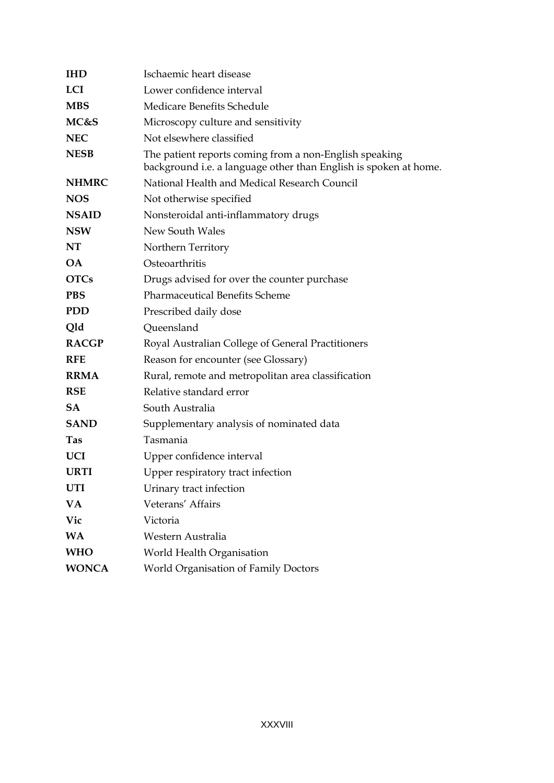| <b>IHD</b>   | Ischaemic heart disease                                                                                                    |
|--------------|----------------------------------------------------------------------------------------------------------------------------|
| <b>LCI</b>   | Lower confidence interval                                                                                                  |
| <b>MBS</b>   | Medicare Benefits Schedule                                                                                                 |
| MC&S         | Microscopy culture and sensitivity                                                                                         |
| <b>NEC</b>   | Not elsewhere classified                                                                                                   |
| <b>NESB</b>  | The patient reports coming from a non-English speaking<br>background i.e. a language other than English is spoken at home. |
| <b>NHMRC</b> | National Health and Medical Research Council                                                                               |
| <b>NOS</b>   | Not otherwise specified                                                                                                    |
| <b>NSAID</b> | Nonsteroidal anti-inflammatory drugs                                                                                       |
| <b>NSW</b>   | New South Wales                                                                                                            |
| NT           | Northern Territory                                                                                                         |
| OA.          | Osteoarthritis                                                                                                             |
| <b>OTCs</b>  | Drugs advised for over the counter purchase                                                                                |
| <b>PBS</b>   | <b>Pharmaceutical Benefits Scheme</b>                                                                                      |
| <b>PDD</b>   | Prescribed daily dose                                                                                                      |
| Qld          | Queensland                                                                                                                 |
| <b>RACGP</b> | Royal Australian College of General Practitioners                                                                          |
| <b>RFE</b>   | Reason for encounter (see Glossary)                                                                                        |
| <b>RRMA</b>  | Rural, remote and metropolitan area classification                                                                         |
| <b>RSE</b>   | Relative standard error                                                                                                    |
| SA.          | South Australia                                                                                                            |
| <b>SAND</b>  | Supplementary analysis of nominated data                                                                                   |
| <b>Tas</b>   | Tasmania                                                                                                                   |
| <b>UCI</b>   | Upper confidence interval                                                                                                  |
| <b>URTI</b>  | Upper respiratory tract infection                                                                                          |
| <b>UTI</b>   | Urinary tract infection                                                                                                    |
| VA           | Veterans' Affairs                                                                                                          |
| Vic          | Victoria                                                                                                                   |
| <b>WA</b>    | Western Australia                                                                                                          |
| <b>WHO</b>   | World Health Organisation                                                                                                  |
| <b>WONCA</b> | World Organisation of Family Doctors                                                                                       |
|              |                                                                                                                            |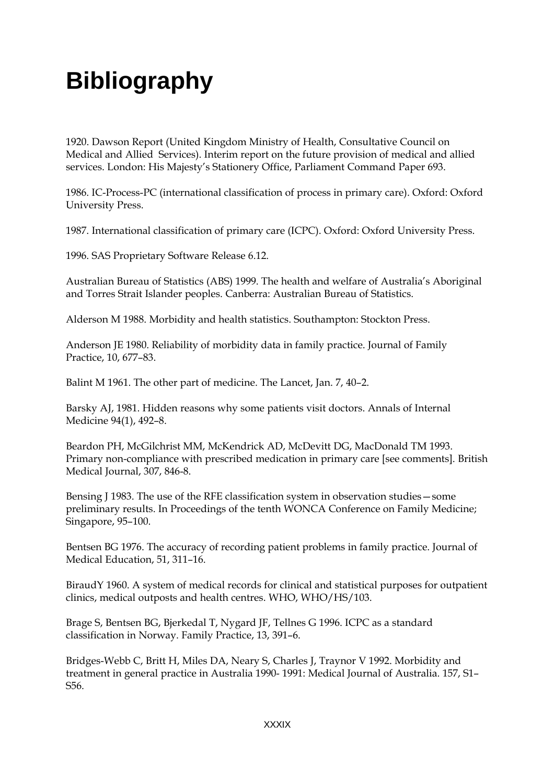## **Bibliography**

1920. Dawson Report (United Kingdom Ministry of Health, Consultative Council on Medical and Allied Services). Interim report on the future provision of medical and allied services. London: His Majesty's Stationery Office, Parliament Command Paper 693.

1986. IC-Process-PC (international classification of process in primary care). Oxford: Oxford University Press.

1987. International classification of primary care (ICPC). Oxford: Oxford University Press.

1996. SAS Proprietary Software Release 6.12.

Australian Bureau of Statistics (ABS) 1999. The health and welfare of Australia's Aboriginal and Torres Strait Islander peoples. Canberra: Australian Bureau of Statistics.

Alderson M 1988. Morbidity and health statistics. Southampton: Stockton Press.

Anderson JE 1980. Reliability of morbidity data in family practice. Journal of Family Practice, 10, 677–83.

Balint M 1961. The other part of medicine. The Lancet, Jan. 7, 40–2.

Barsky AJ, 1981. Hidden reasons why some patients visit doctors. Annals of Internal Medicine 94(1), 492–8.

Beardon PH, McGilchrist MM, McKendrick AD, McDevitt DG, MacDonald TM 1993. Primary non-compliance with prescribed medication in primary care [see comments]. British Medical Journal, 307, 846-8.

Bensing J 1983. The use of the RFE classification system in observation studies—some preliminary results. In Proceedings of the tenth WONCA Conference on Family Medicine; Singapore, 95–100.

Bentsen BG 1976. The accuracy of recording patient problems in family practice. Journal of Medical Education, 51, 311–16.

BiraudY 1960. A system of medical records for clinical and statistical purposes for outpatient clinics, medical outposts and health centres. WHO, WHO/HS/103.

Brage S, Bentsen BG, Bjerkedal T, Nygard JF, Tellnes G 1996. ICPC as a standard classification in Norway. Family Practice, 13, 391–6.

Bridges-Webb C, Britt H, Miles DA, Neary S, Charles J, Traynor V 1992. Morbidity and treatment in general practice in Australia 1990- 1991: Medical Journal of Australia. 157, S1– S56.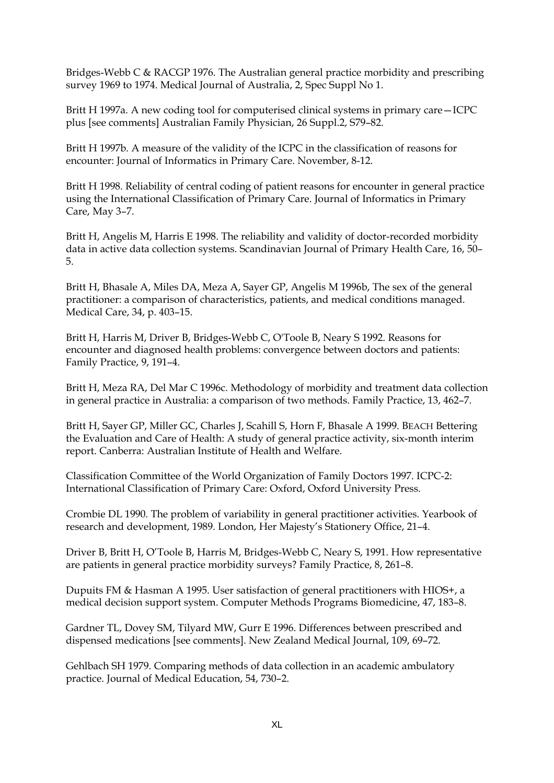Bridges-Webb C & RACGP 1976. The Australian general practice morbidity and prescribing survey 1969 to 1974. Medical Journal of Australia, 2, Spec Suppl No 1.

Britt H 1997a. A new coding tool for computerised clinical systems in primary care—ICPC plus [see comments] Australian Family Physician, 26 Suppl.2, S79–82.

Britt H 1997b. A measure of the validity of the ICPC in the classification of reasons for encounter: Journal of Informatics in Primary Care. November, 8-12.

Britt H 1998. Reliability of central coding of patient reasons for encounter in general practice using the International Classification of Primary Care. Journal of Informatics in Primary Care, May 3–7.

Britt H, Angelis M, Harris E 1998. The reliability and validity of doctor-recorded morbidity data in active data collection systems. Scandinavian Journal of Primary Health Care, 16, 50– 5.

Britt H, Bhasale A, Miles DA, Meza A, Sayer GP, Angelis M 1996b, The sex of the general practitioner: a comparison of characteristics, patients, and medical conditions managed. Medical Care, 34, p. 403–15.

Britt H, Harris M, Driver B, Bridges-Webb C, O'Toole B, Neary S 1992. Reasons for encounter and diagnosed health problems: convergence between doctors and patients: Family Practice, 9, 191–4.

Britt H, Meza RA, Del Mar C 1996c. Methodology of morbidity and treatment data collection in general practice in Australia: a comparison of two methods. Family Practice, 13, 462–7.

Britt H, Sayer GP, Miller GC, Charles J, Scahill S, Horn F, Bhasale A 1999. BEACH Bettering the Evaluation and Care of Health: A study of general practice activity, six-month interim report. Canberra: Australian Institute of Health and Welfare.

Classification Committee of the World Organization of Family Doctors 1997. ICPC-2: International Classification of Primary Care: Oxford, Oxford University Press.

Crombie DL 1990. The problem of variability in general practitioner activities. Yearbook of research and development, 1989. London, Her Majesty's Stationery Office, 21–4.

Driver B, Britt H, O'Toole B, Harris M, Bridges-Webb C, Neary S, 1991. How representative are patients in general practice morbidity surveys? Family Practice, 8, 261–8.

Dupuits FM & Hasman A 1995. User satisfaction of general practitioners with HIOS+, a medical decision support system. Computer Methods Programs Biomedicine, 47, 183–8.

Gardner TL, Dovey SM, Tilyard MW, Gurr E 1996. Differences between prescribed and dispensed medications [see comments]. New Zealand Medical Journal, 109, 69–72.

Gehlbach SH 1979. Comparing methods of data collection in an academic ambulatory practice. Journal of Medical Education, 54, 730–2.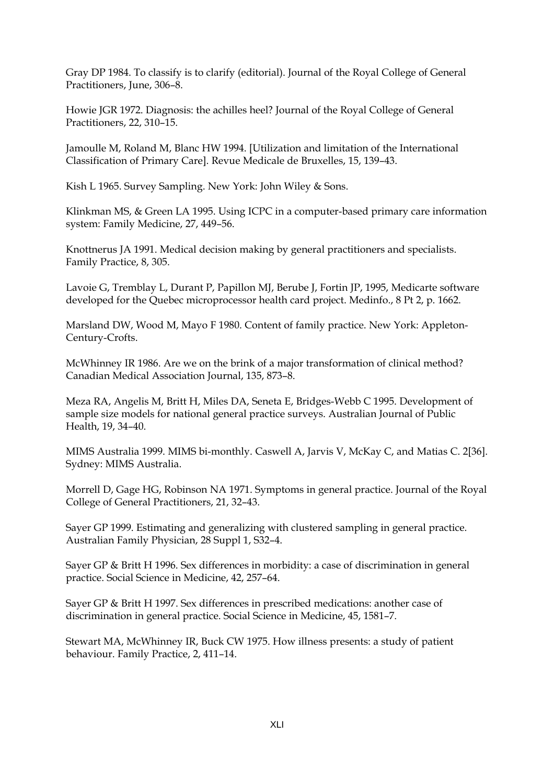Gray DP 1984. To classify is to clarify (editorial). Journal of the Royal College of General Practitioners, June, 306–8.

Howie JGR 1972. Diagnosis: the achilles heel? Journal of the Royal College of General Practitioners, 22, 310–15.

Jamoulle M, Roland M, Blanc HW 1994. [Utilization and limitation of the International Classification of Primary Care]. Revue Medicale de Bruxelles, 15, 139–43.

Kish L 1965. Survey Sampling. New York: John Wiley & Sons.

Klinkman MS, & Green LA 1995. Using ICPC in a computer-based primary care information system: Family Medicine, 27, 449–56.

Knottnerus JA 1991. Medical decision making by general practitioners and specialists. Family Practice, 8, 305.

Lavoie G, Tremblay L, Durant P, Papillon MJ, Berube J, Fortin JP, 1995, Medicarte software developed for the Quebec microprocessor health card project. Medinfo., 8 Pt 2, p. 1662.

Marsland DW, Wood M, Mayo F 1980. Content of family practice. New York: Appleton-Century-Crofts.

McWhinney IR 1986. Are we on the brink of a major transformation of clinical method? Canadian Medical Association Journal, 135, 873–8.

Meza RA, Angelis M, Britt H, Miles DA, Seneta E, Bridges-Webb C 1995. Development of sample size models for national general practice surveys. Australian Journal of Public Health, 19, 34–40.

MIMS Australia 1999. MIMS bi-monthly. Caswell A, Jarvis V, McKay C, and Matias C. 2[36]. Sydney: MIMS Australia.

Morrell D, Gage HG, Robinson NA 1971. Symptoms in general practice. Journal of the Royal College of General Practitioners, 21, 32–43.

Sayer GP 1999. Estimating and generalizing with clustered sampling in general practice. Australian Family Physician, 28 Suppl 1, S32–4.

Sayer GP & Britt H 1996. Sex differences in morbidity: a case of discrimination in general practice. Social Science in Medicine, 42, 257–64.

Sayer GP & Britt H 1997. Sex differences in prescribed medications: another case of discrimination in general practice. Social Science in Medicine, 45, 1581–7.

Stewart MA, McWhinney IR, Buck CW 1975. How illness presents: a study of patient behaviour. Family Practice, 2, 411–14.